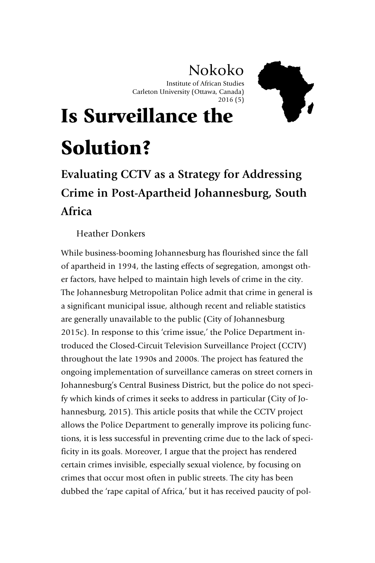## Nokoko

Institute of African Studies Carleton University (Ottawa, Canada) 2016 (5)



# Is Surveillance the Solution?

## **Evaluating CCTV as a Strategy for Addressing Crime in Post-Apartheid Johannesburg, South Africa**

Heather Donkers

While business-booming Johannesburg has flourished since the fall of apartheid in 1994, the lasting effects of segregation, amongst other factors, have helped to maintain high levels of crime in the city. The Johannesburg Metropolitan Police admit that crime in general is a significant municipal issue, although recent and reliable statistics are generally unavailable to the public (City of Johannesburg 2015c). In response to this 'crime issue,' the Police Department introduced the Closed-Circuit Television Surveillance Project (CCTV) throughout the late 1990s and 2000s. The project has featured the ongoing implementation of surveillance cameras on street corners in Johannesburg's Central Business District, but the police do not specify which kinds of crimes it seeks to address in particular (City of Johannesburg, 2015). This article posits that while the CCTV project allows the Police Department to generally improve its policing functions, it is less successful in preventing crime due to the lack of specificity in its goals. Moreover, I argue that the project has rendered certain crimes invisible, especially sexual violence, by focusing on crimes that occur most often in public streets. The city has been dubbed the 'rape capital of Africa,' but it has received paucity of pol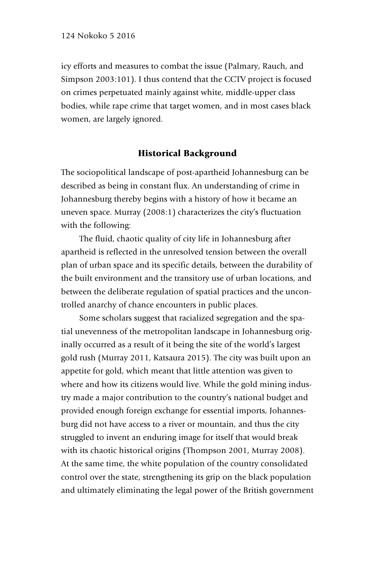icy efforts and measures to combat the issue (Palmary, Rauch, and Simpson 2003:101). I thus contend that the CCTV project is focused on crimes perpetuated mainly against white, middle-upper class bodies, while rape crime that target women, and in most cases black women, are largely ignored.

#### Historical Background

The sociopolitical landscape of post-apartheid Johannesburg can be described as being in constant flux. An understanding of crime in Johannesburg thereby begins with a history of how it became an uneven space. Murray (2008:1) characterizes the city's fluctuation with the following:

The fluid, chaotic quality of city life in Johannesburg after apartheid is reflected in the unresolved tension between the overall plan of urban space and its specific details, between the durability of the built environment and the transitory use of urban locations, and between the deliberate regulation of spatial practices and the uncontrolled anarchy of chance encounters in public places.

Some scholars suggest that racialized segregation and the spatial unevenness of the metropolitan landscape in Johannesburg originally occurred as a result of it being the site of the world's largest gold rush (Murray 2011, Katsaura 2015). The city was built upon an appetite for gold, which meant that little attention was given to where and how its citizens would live. While the gold mining industry made a major contribution to the country's national budget and provided enough foreign exchange for essential imports, Johannesburg did not have access to a river or mountain, and thus the city struggled to invent an enduring image for itself that would break with its chaotic historical origins (Thompson 2001, Murray 2008). At the same time, the white population of the country consolidated control over the state, strengthening its grip on the black population and ultimately eliminating the legal power of the British government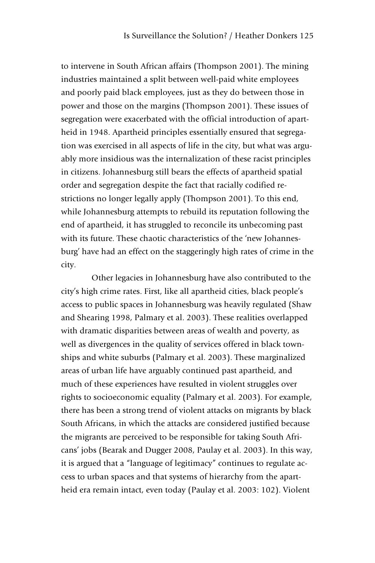to intervene in South African affairs (Thompson 2001). The mining industries maintained a split between well-paid white employees and poorly paid black employees, just as they do between those in power and those on the margins (Thompson 2001). These issues of segregation were exacerbated with the official introduction of apartheid in 1948. Apartheid principles essentially ensured that segregation was exercised in all aspects of life in the city, but what was arguably more insidious was the internalization of these racist principles in citizens. Johannesburg still bears the effects of apartheid spatial order and segregation despite the fact that racially codified restrictions no longer legally apply (Thompson 2001). To this end, while Johannesburg attempts to rebuild its reputation following the end of apartheid, it has struggled to reconcile its unbecoming past with its future. These chaotic characteristics of the 'new Johannesburg' have had an effect on the staggeringly high rates of crime in the city.

Other legacies in Johannesburg have also contributed to the city's high crime rates. First, like all apartheid cities, black people's access to public spaces in Johannesburg was heavily regulated (Shaw and Shearing 1998, Palmary et al. 2003). These realities overlapped with dramatic disparities between areas of wealth and poverty, as well as divergences in the quality of services offered in black townships and white suburbs (Palmary et al. 2003). These marginalized areas of urban life have arguably continued past apartheid, and much of these experiences have resulted in violent struggles over rights to socioeconomic equality (Palmary et al. 2003). For example, there has been a strong trend of violent attacks on migrants by black South Africans, in which the attacks are considered justified because the migrants are perceived to be responsible for taking South Africans' jobs (Bearak and Dugger 2008, Paulay et al. 2003). In this way, it is argued that a "language of legitimacy" continues to regulate access to urban spaces and that systems of hierarchy from the apartheid era remain intact, even today (Paulay et al. 2003: 102). Violent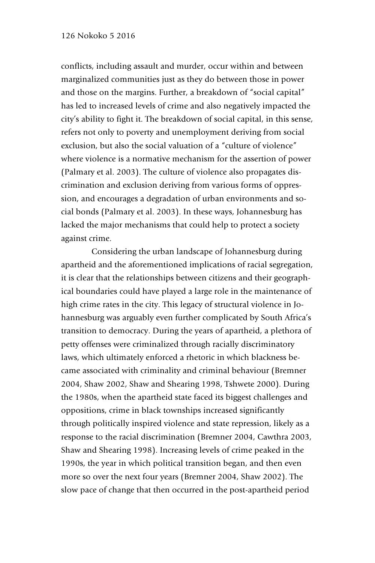conflicts, including assault and murder, occur within and between marginalized communities just as they do between those in power and those on the margins. Further, a breakdown of "social capital" has led to increased levels of crime and also negatively impacted the city's ability to fight it. The breakdown of social capital, in this sense, refers not only to poverty and unemployment deriving from social exclusion, but also the social valuation of a "culture of violence" where violence is a normative mechanism for the assertion of power (Palmary et al. 2003). The culture of violence also propagates discrimination and exclusion deriving from various forms of oppression, and encourages a degradation of urban environments and social bonds (Palmary et al. 2003). In these ways, Johannesburg has lacked the major mechanisms that could help to protect a society against crime.

Considering the urban landscape of Johannesburg during apartheid and the aforementioned implications of racial segregation, it is clear that the relationships between citizens and their geographical boundaries could have played a large role in the maintenance of high crime rates in the city. This legacy of structural violence in Johannesburg was arguably even further complicated by South Africa's transition to democracy. During the years of apartheid, a plethora of petty offenses were criminalized through racially discriminatory laws, which ultimately enforced a rhetoric in which blackness became associated with criminality and criminal behaviour (Bremner 2004, Shaw 2002, Shaw and Shearing 1998, Tshwete 2000). During the 1980s, when the apartheid state faced its biggest challenges and oppositions, crime in black townships increased significantly through politically inspired violence and state repression, likely as a response to the racial discrimination (Bremner 2004, Cawthra 2003, Shaw and Shearing 1998). Increasing levels of crime peaked in the 1990s, the year in which political transition began, and then even more so over the next four years (Bremner 2004, Shaw 2002). The slow pace of change that then occurred in the post-apartheid period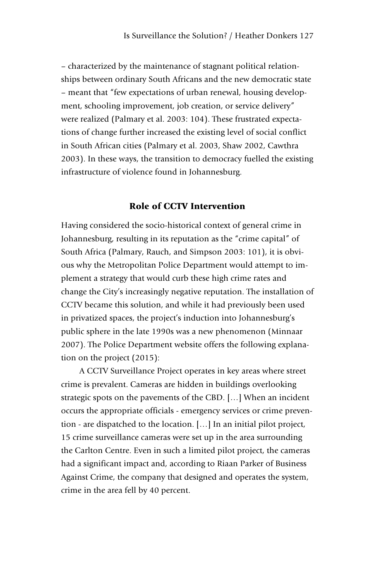– characterized by the maintenance of stagnant political relationships between ordinary South Africans and the new democratic state – meant that "few expectations of urban renewal, housing development, schooling improvement, job creation, or service delivery" were realized (Palmary et al. 2003: 104). These frustrated expectations of change further increased the existing level of social conflict in South African cities (Palmary et al. 2003, Shaw 2002, Cawthra 2003). In these ways, the transition to democracy fuelled the existing infrastructure of violence found in Johannesburg.

### Role of CCTV Intervention

Having considered the socio-historical context of general crime in Johannesburg, resulting in its reputation as the "crime capital" of South Africa (Palmary, Rauch, and Simpson 2003: 101), it is obvious why the Metropolitan Police Department would attempt to implement a strategy that would curb these high crime rates and change the City's increasingly negative reputation. The installation of CCTV became this solution, and while it had previously been used in privatized spaces, the project's induction into Johannesburg's public sphere in the late 1990s was a new phenomenon (Minnaar 2007). The Police Department website offers the following explanation on the project (2015):

A CCTV Surveillance Project operates in key areas where street crime is prevalent. Cameras are hidden in buildings overlooking strategic spots on the pavements of the CBD. […] When an incident occurs the appropriate officials - emergency services or crime prevention - are dispatched to the location. […] In an initial pilot project, 15 crime surveillance cameras were set up in the area surrounding the Carlton Centre. Even in such a limited pilot project, the cameras had a significant impact and, according to Riaan Parker of Business Against Crime, the company that designed and operates the system, crime in the area fell by 40 percent.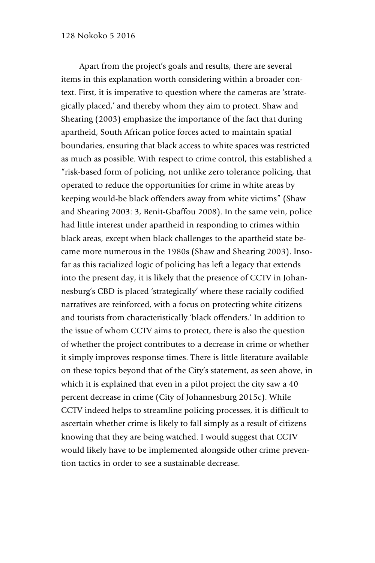Apart from the project's goals and results, there are several items in this explanation worth considering within a broader context. First, it is imperative to question where the cameras are 'strategically placed,' and thereby whom they aim to protect. Shaw and Shearing (2003) emphasize the importance of the fact that during apartheid, South African police forces acted to maintain spatial boundaries, ensuring that black access to white spaces was restricted as much as possible. With respect to crime control, this established a "risk-based form of policing, not unlike zero tolerance policing, that operated to reduce the opportunities for crime in white areas by keeping would-be black offenders away from white victims" (Shaw and Shearing 2003: 3, Benit-Gbaffou 2008). In the same vein, police had little interest under apartheid in responding to crimes within black areas, except when black challenges to the apartheid state became more numerous in the 1980s (Shaw and Shearing 2003). Insofar as this racialized logic of policing has left a legacy that extends into the present day, it is likely that the presence of CCTV in Johannesburg's CBD is placed 'strategically' where these racially codified narratives are reinforced, with a focus on protecting white citizens and tourists from characteristically 'black offenders.' In addition to the issue of whom CCTV aims to protect, there is also the question of whether the project contributes to a decrease in crime or whether it simply improves response times. There is little literature available on these topics beyond that of the City's statement, as seen above, in which it is explained that even in a pilot project the city saw a 40 percent decrease in crime (City of Johannesburg 2015c). While CCTV indeed helps to streamline policing processes, it is difficult to ascertain whether crime is likely to fall simply as a result of citizens knowing that they are being watched. I would suggest that CCTV would likely have to be implemented alongside other crime prevention tactics in order to see a sustainable decrease.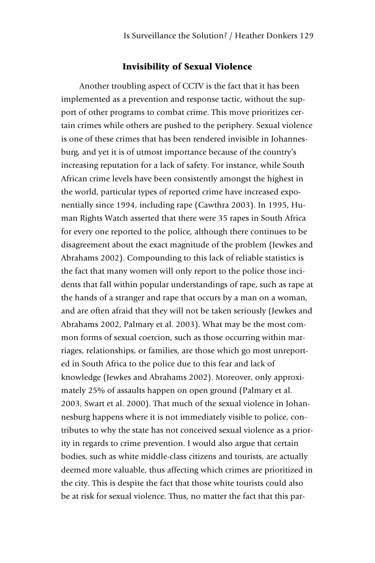#### Invisibility of Sexual Violence

Another troubling aspect of CCTV is the fact that it has been implemented as a prevention and response tactic, without the support of other programs to combat crime. This move prioritizes certain crimes while others are pushed to the periphery. Sexual violence is one of these crimes that has been rendered invisible in Johannesburg, and yet it is of utmost importance because of the country's increasing reputation for a lack of safety. For instance, while South African crime levels have been consistently amongst the highest in the world, particular types of reported crime have increased exponentially since 1994, including rape (Cawthra 2003). In 1995, Human Rights Watch asserted that there were 35 rapes in South Africa for every one reported to the police, although there continues to be disagreement about the exact magnitude of the problem (Jewkes and Abrahams 2002). Compounding to this lack of reliable statistics is the fact that many women will only report to the police those incidents that fall within popular understandings of rape, such as rape at the hands of a stranger and rape that occurs by a man on a woman, and are often afraid that they will not be taken seriously (Jewkes and Abrahams 2002, Palmary et al. 2003). What may be the most common forms of sexual coercion, such as those occurring within marriages, relationships, or families, are those which go most unreported in South Africa to the police due to this fear and lack of knowledge (Jewkes and Abrahams 2002). Moreover, only approximately 25% of assaults happen on open ground (Palmary et al. 2003, Swart et al. 2000). That much of the sexual violence in Johannesburg happens where it is not immediately visible to police, contributes to why the state has not conceived sexual violence as a priority in regards to crime prevention. I would also argue that certain bodies, such as white middle-class citizens and tourists, are actually deemed more valuable, thus affecting which crimes are prioritized in the city. This is despite the fact that those white tourists could also be at risk for sexual violence. Thus, no matter the fact that this par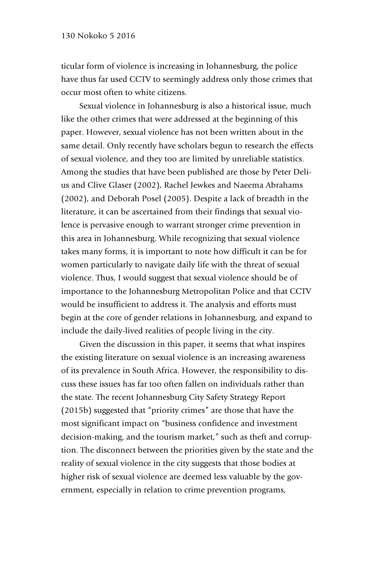ticular form of violence is increasing in Johannesburg, the police have thus far used CCTV to seemingly address only those crimes that occur most often to white citizens.

Sexual violence in Johannesburg is also a historical issue, much like the other crimes that were addressed at the beginning of this paper. However, sexual violence has not been written about in the same detail. Only recently have scholars begun to research the effects of sexual violence, and they too are limited by unreliable statistics. Among the studies that have been published are those by Peter Delius and Clive Glaser (2002), Rachel Jewkes and Naeema Abrahams (2002), and Deborah Posel (2005). Despite a lack of breadth in the literature, it can be ascertained from their findings that sexual violence is pervasive enough to warrant stronger crime prevention in this area in Johannesburg. While recognizing that sexual violence takes many forms, it is important to note how difficult it can be for women particularly to navigate daily life with the threat of sexual violence. Thus, I would suggest that sexual violence should be of importance to the Johannesburg Metropolitan Police and that CCTV would be insufficient to address it. The analysis and efforts must begin at the core of gender relations in Johannesburg, and expand to include the daily-lived realities of people living in the city.

Given the discussion in this paper, it seems that what inspires the existing literature on sexual violence is an increasing awareness of its prevalence in South Africa. However, the responsibility to discuss these issues has far too often fallen on individuals rather than the state. The recent Johannesburg City Safety Strategy Report (2015b) suggested that "priority crimes" are those that have the most significant impact on "business confidence and investment decision-making, and the tourism market," such as theft and corruption. The disconnect between the priorities given by the state and the reality of sexual violence in the city suggests that those bodies at higher risk of sexual violence are deemed less valuable by the government, especially in relation to crime prevention programs,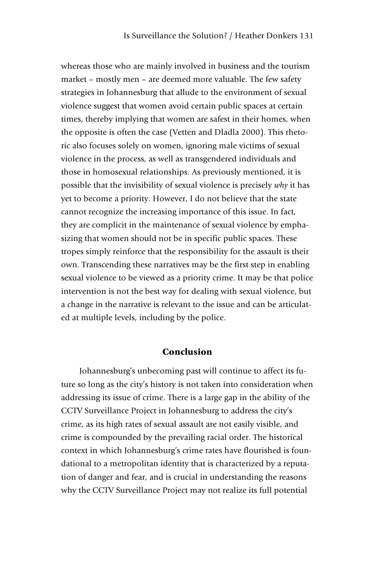whereas those who are mainly involved in business and the tourism market – mostly men – are deemed more valuable. The few safety strategies in Johannesburg that allude to the environment of sexual violence suggest that women avoid certain public spaces at certain times, thereby implying that women are safest in their homes, when the opposite is often the case (Vetten and Dladla 2000). This rhetoric also focuses solely on women, ignoring male victims of sexual violence in the process, as well as transgendered individuals and those in homosexual relationships. As previously mentioned, it is possible that the invisibility of sexual violence is precisely *why* it has yet to become a priority. However, I do not believe that the state cannot recognize the increasing importance of this issue. In fact, they are complicit in the maintenance of sexual violence by emphasizing that women should not be in specific public spaces. These tropes simply reinforce that the responsibility for the assault is their own. Transcending these narratives may be the first step in enabling sexual violence to be viewed as a priority crime. It may be that police intervention is not the best way for dealing with sexual violence, but a change in the narrative is relevant to the issue and can be articulated at multiple levels, including by the police.

#### Conclusion

Johannesburg's unbecoming past will continue to affect its future so long as the city's history is not taken into consideration when addressing its issue of crime. There is a large gap in the ability of the CCTV Surveillance Project in Johannesburg to address the city's crime, as its high rates of sexual assault are not easily visible, and crime is compounded by the prevailing racial order. The historical context in which Johannesburg's crime rates have flourished is foundational to a metropolitan identity that is characterized by a reputation of danger and fear, and is crucial in understanding the reasons why the CCTV Surveillance Project may not realize its full potential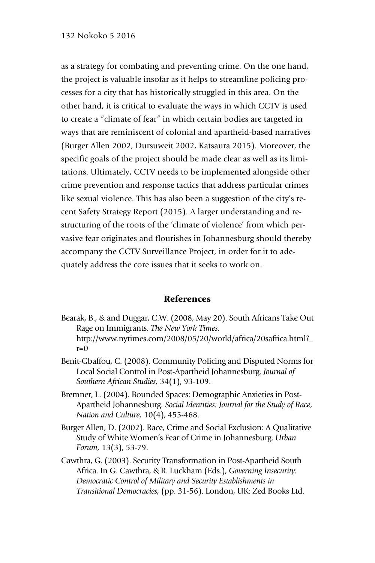as a strategy for combating and preventing crime. On the one hand, the project is valuable insofar as it helps to streamline policing processes for a city that has historically struggled in this area. On the other hand, it is critical to evaluate the ways in which CCTV is used to create a "climate of fear" in which certain bodies are targeted in ways that are reminiscent of colonial and apartheid-based narratives (Burger Allen 2002, Dursuweit 2002, Katsaura 2015). Moreover, the specific goals of the project should be made clear as well as its limitations. Ultimately, CCTV needs to be implemented alongside other crime prevention and response tactics that address particular crimes like sexual violence. This has also been a suggestion of the city's recent Safety Strategy Report (2015). A larger understanding and restructuring of the roots of the 'climate of violence' from which pervasive fear originates and flourishes in Johannesburg should thereby accompany the CCTV Surveillance Project, in order for it to adequately address the core issues that it seeks to work on.

#### References

- Bearak, B., & and Duggar, C.W. (2008, May 20). South Africans Take Out Rage on Immigrants. *The New York Times.*  http://www.nytimes.com/2008/05/20/world/africa/20safrica.html?  $r=0$
- Benit-Gbaffou, C. (2008). Community Policing and Disputed Norms for Local Social Control in Post-Apartheid Johannesburg. *Journal of Southern African Studies,* 34(1), 93-109.
- Bremner, L. (2004). Bounded Spaces: Demographic Anxieties in Post-Apartheid Johannesburg. *Social Identities: Journal for the Study of Race, Nation and Culture,* 10(4), 455-468.
- Burger Allen, D. (2002). Race, Crime and Social Exclusion: A Qualitative Study of White Women's Fear of Crime in Johannesburg. *Urban Forum,* 13(3), 53-79.
- Cawthra, G. (2003). Security Transformation in Post-Apartheid South Africa. In G. Cawthra, & R. Luckham (Eds.), *Governing Insecurity: Democratic Control of Military and Security Establishments in Transitional Democracies,* (pp. 31-56). London, UK: Zed Books Ltd.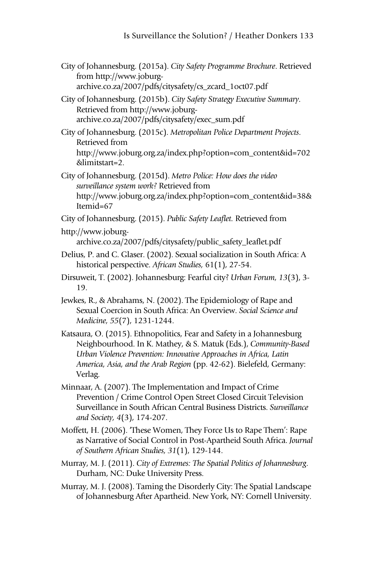- City of Johannesburg. (2015a). *City Safety Programme Brochure*. Retrieved from http://www.joburgarchive.co.za/2007/pdfs/citysafety/cs\_zcard\_1oct07.pdf
- City of Johannesburg. (2015b). *City Safety Strategy Executive Summary*. Retrieved from http://www.joburgarchive.co.za/2007/pdfs/citysafety/exec\_sum.pdf
- City of Johannesburg. (2015c). *Metropolitan Police Department Projects*. Retrieved from http://www.joburg.org.za/index.php?option=com\_content&id=702 &limitstart=2.
- City of Johannesburg. (2015d). *Metro Police: How does the video surveillance system work?* Retrieved from http://www.joburg.org.za/index.php?option=com\_content&id=38& Itemid=67
- City of Johannesburg. (2015). *Public Safety Leaflet.* Retrieved from
- http://www.joburgarchive.co.za/2007/pdfs/citysafety/public\_safety\_leaflet.pdf
- Delius, P. and C. Glaser. (2002). Sexual socialization in South Africa: A historical perspective. *African Studies,* 61(1), 27-54.
- Dirsuweit, T. (2002). Johannesburg: Fearful city? *Urban Forum, 13*(3), 3- 19.
- Jewkes, R., & Abrahams, N. (2002). The Epidemiology of Rape and Sexual Coercion in South Africa: An Overview. *Social Science and Medicine, 55*(7), 1231-1244.
- Katsaura, O. (2015). Ethnopolitics, Fear and Safety in a Johannesburg Neighbourhood. In K. Mathey, & S. Matuk (Eds.), *Community-Based Urban Violence Prevention: Innovative Approaches in Africa, Latin America, Asia, and the Arab Region* (pp. 42-62). Bielefeld, Germany: Verlag.
- Minnaar, A. (2007). The Implementation and Impact of Crime Prevention / Crime Control Open Street Closed Circuit Television Surveillance in South African Central Business Districts. *Surveillance and Society, 4*(3), 174-207.
- Moffett, H. (2006). 'These Women, They Force Us to Rape Them': Rape as Narrative of Social Control in Post-Apartheid South Africa. *Journal of Southern African Studies, 31*(1), 129-144.
- Murray, M. J. (2011). *City of Extremes: The Spatial Politics of Johannesburg*. Durham, NC: Duke University Press.
- Murray, M. J. (2008). Taming the Disorderly City: The Spatial Landscape of Johannesburg After Apartheid. New York, NY: Cornell University.